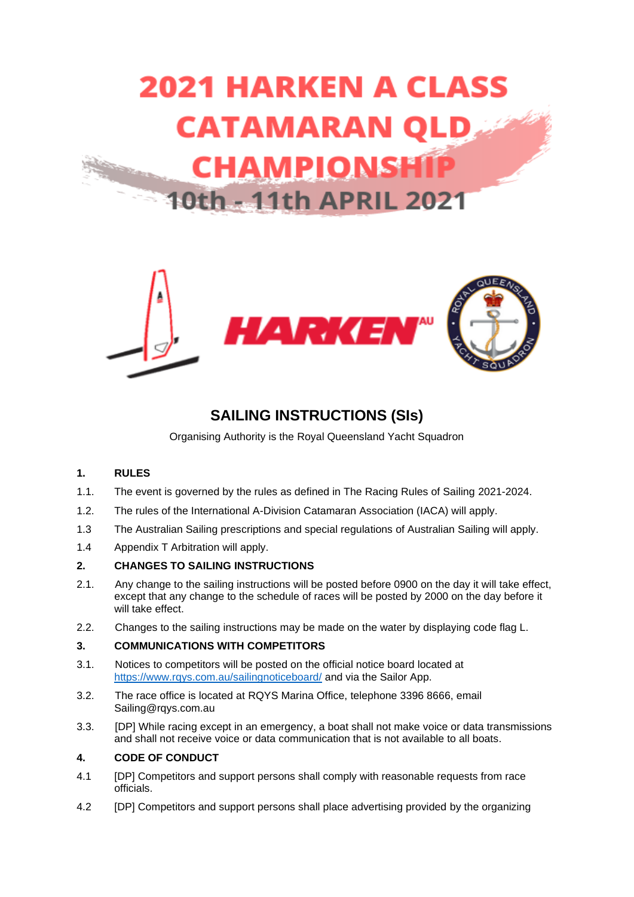



# **SAILING INSTRUCTIONS (SIs)**

Organising Authority is the Royal Queensland Yacht Squadron

## **1. RULES**

- 1.1. The event is governed by the rules as defined in The Racing Rules of Sailing 2021-2024.
- 1.2. The rules of the International A-Division Catamaran Association (IACA) will apply.
- 1.3 The Australian Sailing prescriptions and special regulations of Australian Sailing will apply.
- 1.4 Appendix T Arbitration will apply.

## **2. CHANGES TO SAILING INSTRUCTIONS**

- 2.1. Any change to the sailing instructions will be posted before 0900 on the day it will take effect, except that any change to the schedule of races will be posted by 2000 on the day before it will take effect.
- 2.2. Changes to the sailing instructions may be made on the water by displaying code flag L.

## **3. COMMUNICATIONS WITH COMPETITORS**

- 3.1. Notices to competitors will be posted on the official notice board located at <https://www.rqys.com.au/sailingnoticeboard/> and via the Sailor App.
- 3.2. The race office is located at RQYS Marina Office, telephone 3396 8666, email Sailing@rqys.com.au
- 3.3. [DP] While racing except in an emergency, a boat shall not make voice or data transmissions and shall not receive voice or data communication that is not available to all boats.

## **4. CODE OF CONDUCT**

- 4.1 [DP] Competitors and support persons shall comply with reasonable requests from race officials.
- 4.2 [DP] Competitors and support persons shall place advertising provided by the organizing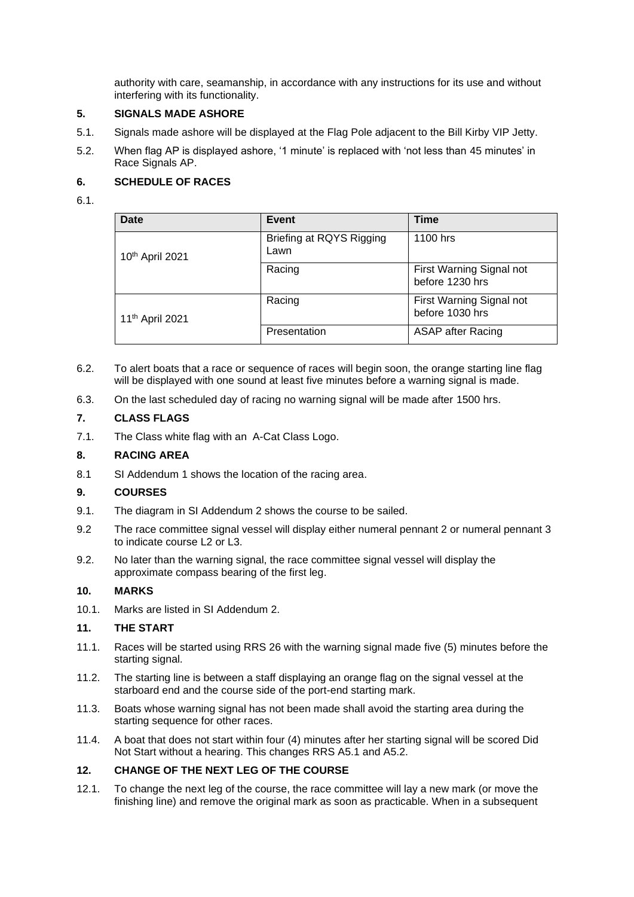authority with care, seamanship, in accordance with any instructions for its use and without interfering with its functionality.

## **5. SIGNALS MADE ASHORE**

- 5.1. Signals made ashore will be displayed at the Flag Pole adjacent to the Bill Kirby VIP Jetty.
- 5.2. When flag AP is displayed ashore, '1 minute' is replaced with 'not less than 45 minutes' in Race Signals AP.

## **6. SCHEDULE OF RACES**

## 6.1.

| Date                        | Event                            | Time                                        |
|-----------------------------|----------------------------------|---------------------------------------------|
| 10th April 2021             | Briefing at RQYS Rigging<br>Lawn | 1100 hrs                                    |
|                             | Racing                           | First Warning Signal not<br>before 1230 hrs |
| 11 <sup>th</sup> April 2021 | Racing                           | First Warning Signal not<br>before 1030 hrs |
|                             | Presentation                     | <b>ASAP</b> after Racing                    |

- 6.2. To alert boats that a race or sequence of races will begin soon, the orange starting line flag will be displayed with one sound at least five minutes before a warning signal is made.
- 6.3. On the last scheduled day of racing no warning signal will be made after 1500 hrs.

## **7. CLASS FLAGS**

7.1. The Class white flag with an A-Cat Class Logo.

## **8. RACING AREA**

8.1 SI Addendum 1 shows the location of the racing area.

## **9. COURSES**

- 9.1. The diagram in SI Addendum 2 shows the course to be sailed.
- 9.2 The race committee signal vessel will display either numeral pennant 2 or numeral pennant 3 to indicate course L2 or L3.
- 9.2. No later than the warning signal, the race committee signal vessel will display the approximate compass bearing of the first leg.

## **10. MARKS**

10.1. Marks are listed in SI Addendum 2.

## **11. THE START**

- 11.1. Races will be started using RRS 26 with the warning signal made five (5) minutes before the starting signal.
- 11.2. The starting line is between a staff displaying an orange flag on the signal vessel at the starboard end and the course side of the port-end starting mark.
- 11.3. Boats whose warning signal has not been made shall avoid the starting area during the starting sequence for other races.
- 11.4. A boat that does not start within four (4) minutes after her starting signal will be scored Did Not Start without a hearing. This changes RRS A5.1 and A5.2.

## **12. CHANGE OF THE NEXT LEG OF THE COURSE**

12.1. To change the next leg of the course, the race committee will lay a new mark (or move the finishing line) and remove the original mark as soon as practicable. When in a subsequent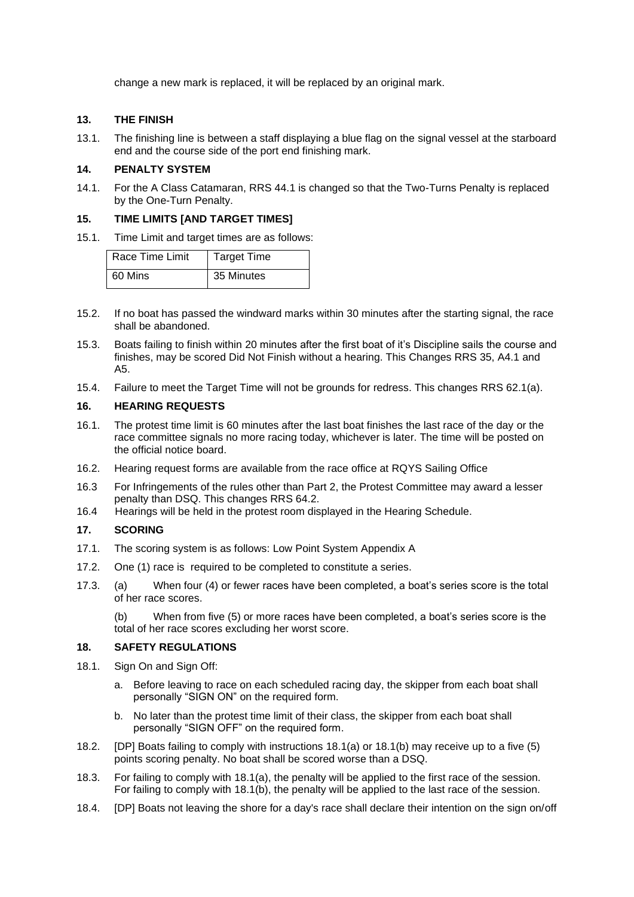change a new mark is replaced, it will be replaced by an original mark.

## **13. THE FINISH**

13.1. The finishing line is between a staff displaying a blue flag on the signal vessel at the starboard end and the course side of the port end finishing mark.

## **14. PENALTY SYSTEM**

14.1. For the A Class Catamaran, RRS 44.1 is changed so that the Two-Turns Penalty is replaced by the One-Turn Penalty.

#### **15. TIME LIMITS [AND TARGET TIMES]**

15.1. Time Limit and target times are as follows:

| Race Time Limit | <b>Target Time</b> |
|-----------------|--------------------|
| 60 Mins         | 35 Minutes         |

- 15.2. If no boat has passed the windward marks within 30 minutes after the starting signal, the race shall be abandoned.
- 15.3. Boats failing to finish within 20 minutes after the first boat of it's Discipline sails the course and finishes, may be scored Did Not Finish without a hearing. This Changes RRS 35, A4.1 and A5.
- 15.4. Failure to meet the Target Time will not be grounds for redress. This changes RRS 62.1(a).

#### **16. HEARING REQUESTS**

- 16.1. The protest time limit is 60 minutes after the last boat finishes the last race of the day or the race committee signals no more racing today, whichever is later. The time will be posted on the official notice board.
- 16.2. Hearing request forms are available from the race office at RQYS Sailing Office
- 16.3 For Infringements of the rules other than Part 2, the Protest Committee may award a lesser penalty than DSQ. This changes RRS 64.2.
- 16.4 Hearings will be held in the protest room displayed in the Hearing Schedule.

## **17. SCORING**

- 17.1. The scoring system is as follows: Low Point System Appendix A
- 17.2. One (1) race is required to be completed to constitute a series.
- 17.3. (a) When four (4) or fewer races have been completed, a boat's series score is the total of her race scores.

(b) When from five (5) or more races have been completed, a boat's series score is the total of her race scores excluding her worst score.

#### **18. SAFETY REGULATIONS**

- 18.1. Sign On and Sign Off:
	- a. Before leaving to race on each scheduled racing day, the skipper from each boat shall personally "SIGN ON" on the required form.
	- b. No later than the protest time limit of their class, the skipper from each boat shall personally "SIGN OFF" on the required form.
- 18.2. [DP] Boats failing to comply with instructions 18.1(a) or 18.1(b) may receive up to a five (5) points scoring penalty. No boat shall be scored worse than a DSQ.
- 18.3. For failing to comply with 18.1(a), the penalty will be applied to the first race of the session. For failing to comply with 18.1(b), the penalty will be applied to the last race of the session.
- 18.4. [DP] Boats not leaving the shore for a day's race shall declare their intention on the sign on/off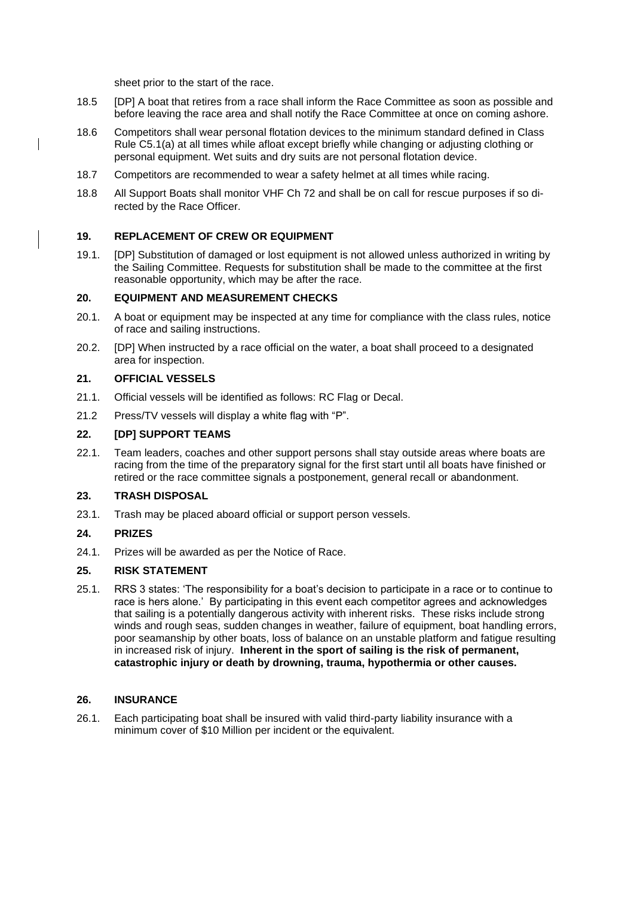sheet prior to the start of the race.

- 18.5 [DP] A boat that retires from a race shall inform the Race Committee as soon as possible and before leaving the race area and shall notify the Race Committee at once on coming ashore.
- 18.6 Competitors shall wear personal flotation devices to the minimum standard defined in Class Rule C5.1(a) at all times while afloat except briefly while changing or adjusting clothing or personal equipment. Wet suits and dry suits are not personal flotation device.
- 18.7 Competitors are recommended to wear a safety helmet at all times while racing.
- 18.8 All Support Boats shall monitor VHF Ch 72 and shall be on call for rescue purposes if so directed by the Race Officer.

## **19. REPLACEMENT OF CREW OR EQUIPMENT**

19.1. [DP] Substitution of damaged or lost equipment is not allowed unless authorized in writing by the Sailing Committee. Requests for substitution shall be made to the committee at the first reasonable opportunity, which may be after the race.

#### **20. EQUIPMENT AND MEASUREMENT CHECKS**

- 20.1. A boat or equipment may be inspected at any time for compliance with the class rules, notice of race and sailing instructions.
- 20.2. [DP] When instructed by a race official on the water, a boat shall proceed to a designated area for inspection.

#### **21. OFFICIAL VESSELS**

- 21.1. Official vessels will be identified as follows: RC Flag or Decal.
- 21.2 Press/TV vessels will display a white flag with "P".

#### **22. [DP] SUPPORT TEAMS**

22.1. Team leaders, coaches and other support persons shall stay outside areas where boats are racing from the time of the preparatory signal for the first start until all boats have finished or retired or the race committee signals a postponement, general recall or abandonment.

#### **23. TRASH DISPOSAL**

23.1. Trash may be placed aboard official or support person vessels.

## **24. PRIZES**

24.1. Prizes will be awarded as per the Notice of Race.

## **25. RISK STATEMENT**

25.1. RRS 3 states: 'The responsibility for a boat's decision to participate in a race or to continue to race is hers alone.' By participating in this event each competitor agrees and acknowledges that sailing is a potentially dangerous activity with inherent risks. These risks include strong winds and rough seas, sudden changes in weather, failure of equipment, boat handling errors, poor seamanship by other boats, loss of balance on an unstable platform and fatigue resulting in increased risk of injury. **Inherent in the sport of sailing is the risk of permanent, catastrophic injury or death by drowning, trauma, hypothermia or other causes.**

#### **26. INSURANCE**

26.1. Each participating boat shall be insured with valid third-party liability insurance with a minimum cover of \$10 Million per incident or the equivalent.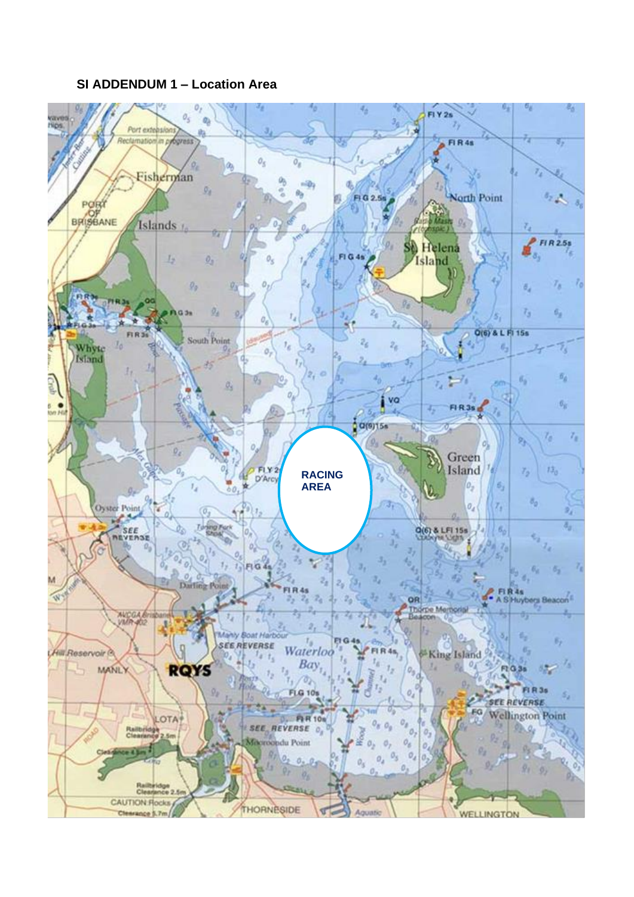## **SI ADDENDUM 1 – Location Area**

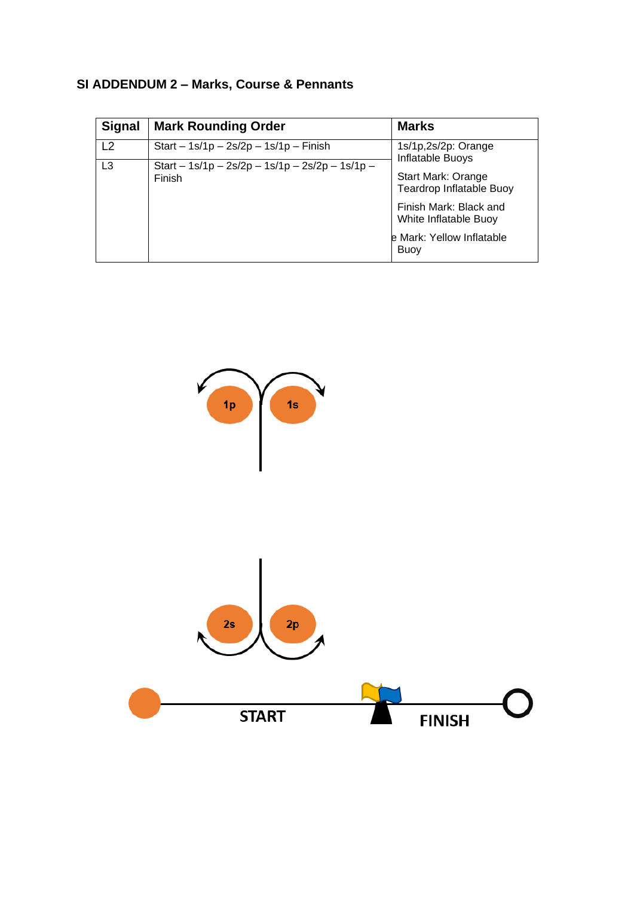# **SI ADDENDUM 2 – Marks, Course & Pennants**

| <b>Signal</b>  | <b>Mark Rounding Order</b>                       | <b>Marks</b>                                    |
|----------------|--------------------------------------------------|-------------------------------------------------|
| L <sub>2</sub> | Start – $1s/1p - 2s/2p - 1s/1p - F$ inish        | 1s/1p,2s/2p: Orange<br>Inflatable Buoys         |
| L3<br>Finish   | Start $-1s/1p - 2s/2p - 1s/1p - 2s/2p - 1s/1p -$ | Start Mark: Orange<br>Teardrop Inflatable Buoy  |
|                |                                                  | Finish Mark: Black and<br>White Inflatable Buoy |
|                |                                                  | e Mark: Yellow Inflatable<br><b>Buoy</b>        |